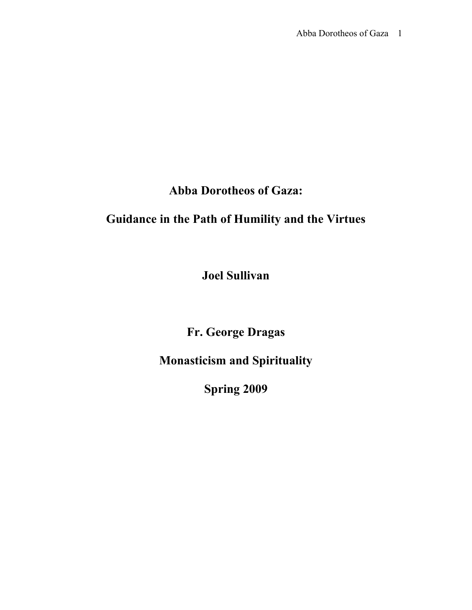## **Abba Dorotheos of Gaza:**

# **Guidance in the Path of Humility and the Virtues**

**Joel Sullivan**

**Fr. George Dragas**

**Monasticism and Spirituality**

**Spring 2009**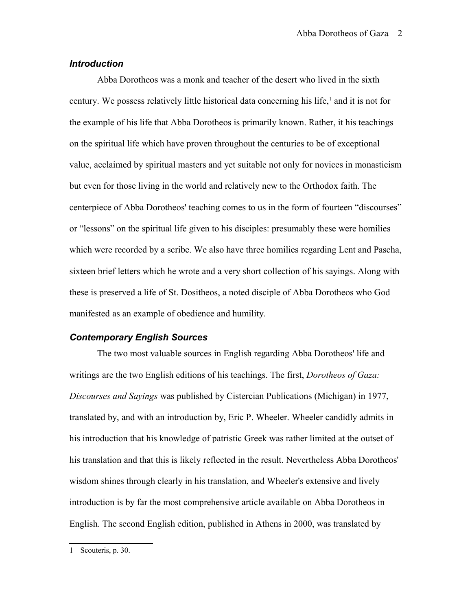## *Introduction*

Abba Dorotheos was a monk and teacher of the desert who lived in the sixth century. We possess relatively little historical data concerning his life,<sup>[1](#page-1-0)</sup> and it is not for the example of his life that Abba Dorotheos is primarily known. Rather, it his teachings on the spiritual life which have proven throughout the centuries to be of exceptional value, acclaimed by spiritual masters and yet suitable not only for novices in monasticism but even for those living in the world and relatively new to the Orthodox faith. The centerpiece of Abba Dorotheos' teaching comes to us in the form of fourteen "discourses" or "lessons" on the spiritual life given to his disciples: presumably these were homilies which were recorded by a scribe. We also have three homilies regarding Lent and Pascha, sixteen brief letters which he wrote and a very short collection of his sayings. Along with these is preserved a life of St. Dositheos, a noted disciple of Abba Dorotheos who God manifested as an example of obedience and humility.

#### *Contemporary English Sources*

The two most valuable sources in English regarding Abba Dorotheos' life and writings are the two English editions of his teachings. The first, *Dorotheos of Gaza: Discourses and Sayings* was published by Cistercian Publications (Michigan) in 1977, translated by, and with an introduction by, Eric P. Wheeler. Wheeler candidly admits in his introduction that his knowledge of patristic Greek was rather limited at the outset of his translation and that this is likely reflected in the result. Nevertheless Abba Dorotheos' wisdom shines through clearly in his translation, and Wheeler's extensive and lively introduction is by far the most comprehensive article available on Abba Dorotheos in English. The second English edition, published in Athens in 2000, was translated by

<span id="page-1-0"></span><sup>1</sup> Scouteris, p. 30.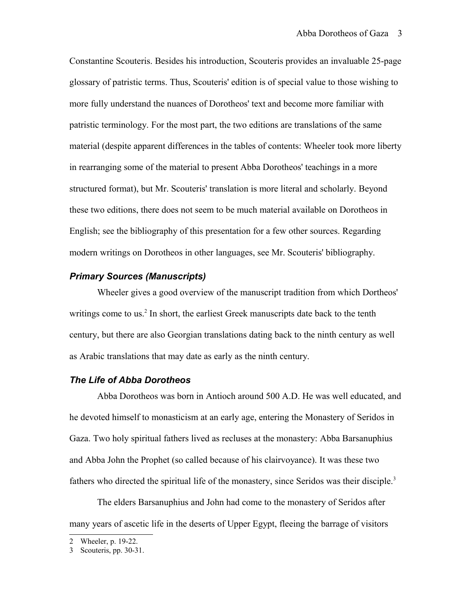Constantine Scouteris. Besides his introduction, Scouteris provides an invaluable 25-page glossary of patristic terms. Thus, Scouteris' edition is of special value to those wishing to more fully understand the nuances of Dorotheos' text and become more familiar with patristic terminology. For the most part, the two editions are translations of the same material (despite apparent differences in the tables of contents: Wheeler took more liberty in rearranging some of the material to present Abba Dorotheos' teachings in a more structured format), but Mr. Scouteris' translation is more literal and scholarly. Beyond these two editions, there does not seem to be much material available on Dorotheos in English; see the bibliography of this presentation for a few other sources. Regarding modern writings on Dorotheos in other languages, see Mr. Scouteris' bibliography.

## *Primary Sources (Manuscripts)*

Wheeler gives a good overview of the manuscript tradition from which Dortheos' writings come to us.<sup>[2](#page-2-0)</sup> In short, the earliest Greek manuscripts date back to the tenth century, but there are also Georgian translations dating back to the ninth century as well as Arabic translations that may date as early as the ninth century.

#### *The Life of Abba Dorotheos*

Abba Dorotheos was born in Antioch around 500 A.D. He was well educated, and he devoted himself to monasticism at an early age, entering the Monastery of Seridos in Gaza. Two holy spiritual fathers lived as recluses at the monastery: Abba Barsanuphius and Abba John the Prophet (so called because of his clairvoyance). It was these two fathers who directed the spiritual life of the monastery, since Seridos was their disciple.<sup>[3](#page-2-1)</sup>

The elders Barsanuphius and John had come to the monastery of Seridos after many years of ascetic life in the deserts of Upper Egypt, fleeing the barrage of visitors

<span id="page-2-0"></span><sup>2</sup> Wheeler, p. 19-22.

<span id="page-2-1"></span><sup>3</sup> Scouteris, pp. 30-31.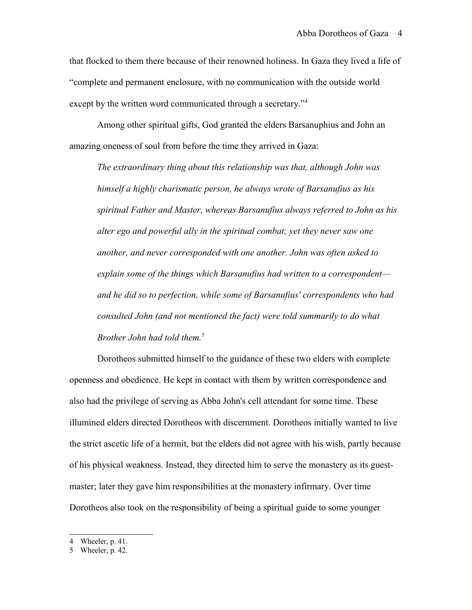that flocked to them there because of their renowned holiness. In Gaza they lived a life of "complete and permanent enclosure, with no communication with the outside world except by the written word communicated through a secretary."<sup>[4](#page-3-0)</sup>

Among other spiritual gifts, God granted the elders Barsanuphius and John an amazing oneness of soul from before the time they arrived in Gaza:

*The extraordinary thing about this relationship was that, although John was himself a highly charismatic person, he always wrote of Barsanufius as his spiritual Father and Master, whereas Barsanufius always referred to John as his alter ego and powerful ally in the spiritual combat; yet they never saw one another, and never corresponded with one another. John was often asked to explain some of the things which Barsanufius had written to a correspondent and he did so to perfection, while some of Barsanufius' correspondents who had consulted John (and not mentioned the fact) were told summarily to do what Brother John had told them.*[5](#page-3-1)

Dorotheos submitted himself to the guidance of these two elders with complete openness and obedience. He kept in contact with them by written correspondence and also had the privilege of serving as Abba John's cell attendant for some time. These illumined elders directed Dorotheos with discernment. Dorotheos initially wanted to live the strict ascetic life of a hermit, but the elders did not agree with his wish, partly because of his physical weakness. Instead, they directed him to serve the monastery as its guestmaster; later they gave him responsibilities at the monastery infirmary. Over time Dorotheos also took on the responsibility of being a spiritual guide to some younger

<span id="page-3-0"></span><sup>4</sup> Wheeler, p. 41.

<span id="page-3-1"></span><sup>5</sup> Wheeler, p. 42.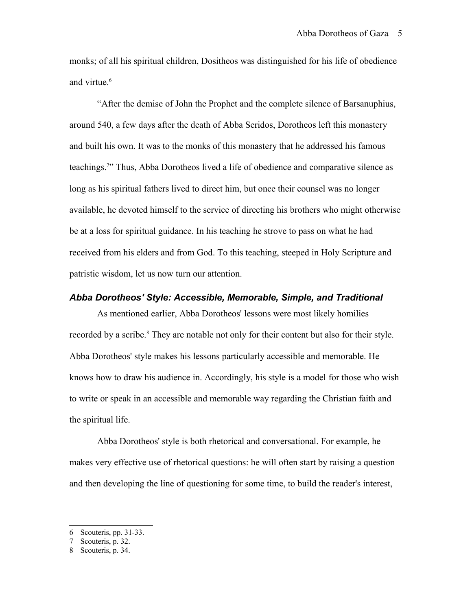monks; of all his spiritual children, Dositheos was distinguished for his life of obedience and virtue.<sup>[6](#page-4-0)</sup>

"After the demise of John the Prophet and the complete silence of Barsanuphius, around 540, a few days after the death of Abba Seridos, Dorotheos left this monastery and built his own. It was to the monks of this monastery that he addressed his famous teachings.<sup>[7](#page-4-1)</sup>" Thus, Abba Dorotheos lived a life of obedience and comparative silence as long as his spiritual fathers lived to direct him, but once their counsel was no longer available, he devoted himself to the service of directing his brothers who might otherwise be at a loss for spiritual guidance. In his teaching he strove to pass on what he had received from his elders and from God. To this teaching, steeped in Holy Scripture and patristic wisdom, let us now turn our attention.

### *Abba Dorotheos' Style: Accessible, Memorable, Simple, and Traditional*

As mentioned earlier, Abba Dorotheos' lessons were most likely homilies recorded by a scribe.<sup>[8](#page-4-2)</sup> They are notable not only for their content but also for their style. Abba Dorotheos' style makes his lessons particularly accessible and memorable. He knows how to draw his audience in. Accordingly, his style is a model for those who wish to write or speak in an accessible and memorable way regarding the Christian faith and the spiritual life.

Abba Dorotheos' style is both rhetorical and conversational. For example, he makes very effective use of rhetorical questions: he will often start by raising a question and then developing the line of questioning for some time, to build the reader's interest,

<span id="page-4-0"></span><sup>6</sup> Scouteris, pp. 31-33.

<span id="page-4-1"></span><sup>7</sup> Scouteris, p. 32.

<span id="page-4-2"></span><sup>8</sup> Scouteris, p. 34.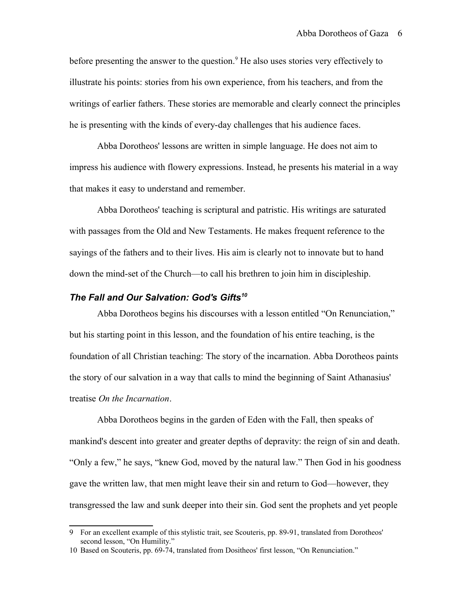before presenting the answer to the question.<sup>[9](#page-5-0)</sup> He also uses stories very effectively to illustrate his points: stories from his own experience, from his teachers, and from the writings of earlier fathers. These stories are memorable and clearly connect the principles he is presenting with the kinds of every-day challenges that his audience faces.

Abba Dorotheos' lessons are written in simple language. He does not aim to impress his audience with flowery expressions. Instead, he presents his material in a way that makes it easy to understand and remember.

Abba Dorotheos' teaching is scriptural and patristic. His writings are saturated with passages from the Old and New Testaments. He makes frequent reference to the sayings of the fathers and to their lives. His aim is clearly not to innovate but to hand down the mind-set of the Church—to call his brethren to join him in discipleship.

## *The Fall and Our Salvation: God's Gifts[10](#page-5-1)*

Abba Dorotheos begins his discourses with a lesson entitled "On Renunciation," but his starting point in this lesson, and the foundation of his entire teaching, is the foundation of all Christian teaching: The story of the incarnation. Abba Dorotheos paints the story of our salvation in a way that calls to mind the beginning of Saint Athanasius' treatise *On the Incarnation*.

Abba Dorotheos begins in the garden of Eden with the Fall, then speaks of mankind's descent into greater and greater depths of depravity: the reign of sin and death. "Only a few," he says, "knew God, moved by the natural law." Then God in his goodness gave the written law, that men might leave their sin and return to God—however, they transgressed the law and sunk deeper into their sin. God sent the prophets and yet people

<span id="page-5-0"></span><sup>9</sup> For an excellent example of this stylistic trait, see Scouteris, pp. 89-91, translated from Dorotheos' second lesson, "On Humility."

<span id="page-5-1"></span><sup>10</sup> Based on Scouteris, pp. 69-74, translated from Dositheos' first lesson, "On Renunciation."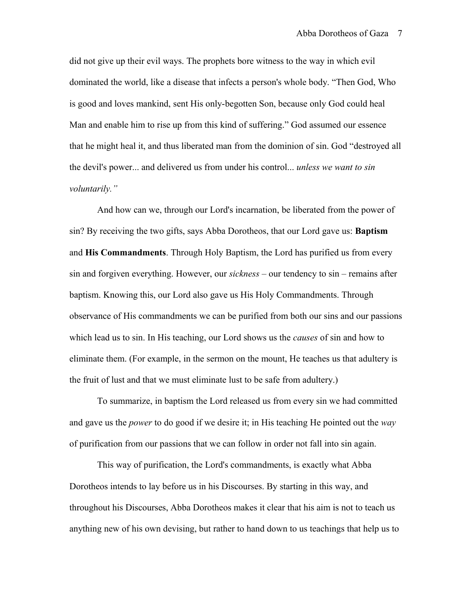did not give up their evil ways. The prophets bore witness to the way in which evil dominated the world, like a disease that infects a person's whole body. "Then God, Who is good and loves mankind, sent His only-begotten Son, because only God could heal Man and enable him to rise up from this kind of suffering." God assumed our essence that he might heal it, and thus liberated man from the dominion of sin. God "destroyed all the devil's power... and delivered us from under his control... *unless we want to sin voluntarily."*

And how can we, through our Lord's incarnation, be liberated from the power of sin? By receiving the two gifts, says Abba Dorotheos, that our Lord gave us: **Baptism** and **His Commandments**. Through Holy Baptism, the Lord has purified us from every sin and forgiven everything. However, our *sickness* – our tendency to sin – remains after baptism. Knowing this, our Lord also gave us His Holy Commandments. Through observance of His commandments we can be purified from both our sins and our passions which lead us to sin. In His teaching, our Lord shows us the *causes* of sin and how to eliminate them. (For example, in the sermon on the mount, He teaches us that adultery is the fruit of lust and that we must eliminate lust to be safe from adultery.)

To summarize, in baptism the Lord released us from every sin we had committed and gave us the *power* to do good if we desire it; in His teaching He pointed out the *way* of purification from our passions that we can follow in order not fall into sin again.

This way of purification, the Lord's commandments, is exactly what Abba Dorotheos intends to lay before us in his Discourses. By starting in this way, and throughout his Discourses, Abba Dorotheos makes it clear that his aim is not to teach us anything new of his own devising, but rather to hand down to us teachings that help us to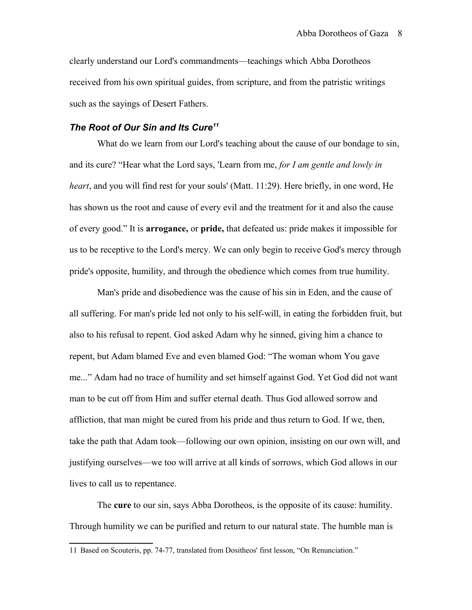clearly understand our Lord's commandments—teachings which Abba Dorotheos received from his own spiritual guides, from scripture, and from the patristic writings such as the sayings of Desert Fathers.

## *The Root of Our Sin and Its Cure[11](#page-7-0)*

What do we learn from our Lord's teaching about the cause of our bondage to sin, and its cure? "Hear what the Lord says, 'Learn from me, *for I am gentle and lowly in heart*, and you will find rest for your souls' (Matt. 11:29). Here briefly, in one word, He has shown us the root and cause of every evil and the treatment for it and also the cause of every good." It is **arrogance,** or **pride,** that defeated us: pride makes it impossible for us to be receptive to the Lord's mercy. We can only begin to receive God's mercy through pride's opposite, humility, and through the obedience which comes from true humility.

Man's pride and disobedience was the cause of his sin in Eden, and the cause of all suffering. For man's pride led not only to his self-will, in eating the forbidden fruit, but also to his refusal to repent. God asked Adam why he sinned, giving him a chance to repent, but Adam blamed Eve and even blamed God: "The woman whom You gave me..." Adam had no trace of humility and set himself against God. Yet God did not want man to be cut off from Him and suffer eternal death. Thus God allowed sorrow and affliction, that man might be cured from his pride and thus return to God. If we, then, take the path that Adam took—following our own opinion, insisting on our own will, and justifying ourselves—we too will arrive at all kinds of sorrows, which God allows in our lives to call us to repentance.

The **cure** to our sin, says Abba Dorotheos, is the opposite of its cause: humility. Through humility we can be purified and return to our natural state. The humble man is

<span id="page-7-0"></span><sup>11</sup> Based on Scouteris, pp. 74-77, translated from Dositheos' first lesson, "On Renunciation."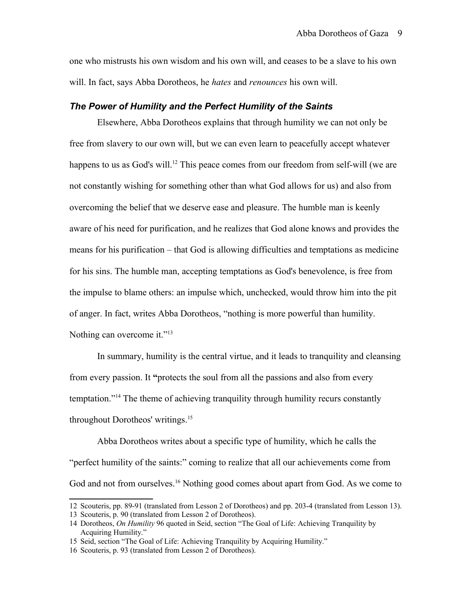one who mistrusts his own wisdom and his own will, and ceases to be a slave to his own will. In fact, says Abba Dorotheos, he *hates* and *renounces* his own will.

#### *The Power of Humility and the Perfect Humility of the Saints*

Elsewhere, Abba Dorotheos explains that through humility we can not only be free from slavery to our own will, but we can even learn to peacefully accept whatever happens to us as God's will.<sup>[12](#page-8-0)</sup> This peace comes from our freedom from self-will (we are not constantly wishing for something other than what God allows for us) and also from overcoming the belief that we deserve ease and pleasure. The humble man is keenly aware of his need for purification, and he realizes that God alone knows and provides the means for his purification – that God is allowing difficulties and temptations as medicine for his sins. The humble man, accepting temptations as God's benevolence, is free from the impulse to blame others: an impulse which, unchecked, would throw him into the pit of anger. In fact, writes Abba Dorotheos, "nothing is more powerful than humility. Nothing can overcome it."<sup>[13](#page-8-1)</sup>

In summary, humility is the central virtue, and it leads to tranquility and cleansing from every passion. It **"**protects the soul from all the passions and also from every temptation."[14](#page-8-2) The theme of achieving tranquility through humility recurs constantly throughout Dorotheos' writings.<sup>[15](#page-8-3)</sup>

Abba Dorotheos writes about a specific type of humility, which he calls the "perfect humility of the saints:" coming to realize that all our achievements come from God and not from ourselves.<sup>[16](#page-8-4)</sup> Nothing good comes about apart from God. As we come to

<span id="page-8-0"></span><sup>12</sup> Scouteris, pp. 89-91 (translated from Lesson 2 of Dorotheos) and pp. 203-4 (translated from Lesson 13).

<span id="page-8-1"></span><sup>13</sup> Scouteris, p. 90 (translated from Lesson 2 of Dorotheos).

<span id="page-8-2"></span><sup>14</sup> Dorotheos, *On Humility* 96 quoted in Seid, section "The Goal of Life: Achieving Tranquility by Acquiring Humility."

<span id="page-8-3"></span><sup>15</sup> Seid, section "The Goal of Life: Achieving Tranquility by Acquiring Humility."

<span id="page-8-4"></span><sup>16</sup> Scouteris, p. 93 (translated from Lesson 2 of Dorotheos).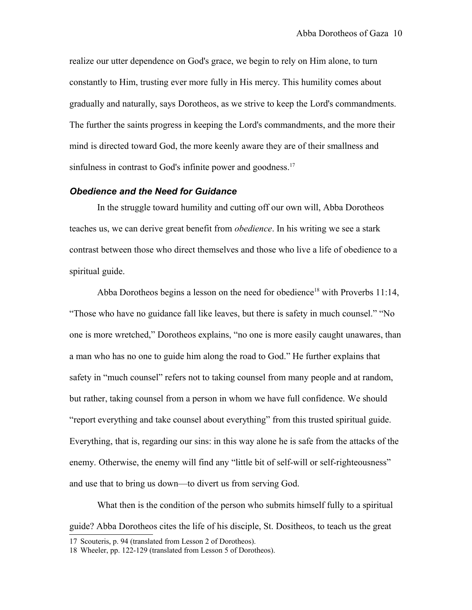realize our utter dependence on God's grace, we begin to rely on Him alone, to turn constantly to Him, trusting ever more fully in His mercy. This humility comes about gradually and naturally, says Dorotheos, as we strive to keep the Lord's commandments. The further the saints progress in keeping the Lord's commandments, and the more their mind is directed toward God, the more keenly aware they are of their smallness and sinfulness in contrast to God's infinite power and goodness.<sup>[17](#page-9-0)</sup>

### *Obedience and the Need for Guidance*

In the struggle toward humility and cutting off our own will, Abba Dorotheos teaches us, we can derive great benefit from *obedience*. In his writing we see a stark contrast between those who direct themselves and those who live a life of obedience to a spiritual guide.

Abba Dorotheos begins a lesson on the need for obedience<sup>[18](#page-9-1)</sup> with Proverbs 11:14, "Those who have no guidance fall like leaves, but there is safety in much counsel." "No one is more wretched," Dorotheos explains, "no one is more easily caught unawares, than a man who has no one to guide him along the road to God." He further explains that safety in "much counsel" refers not to taking counsel from many people and at random, but rather, taking counsel from a person in whom we have full confidence. We should "report everything and take counsel about everything" from this trusted spiritual guide. Everything, that is, regarding our sins: in this way alone he is safe from the attacks of the enemy. Otherwise, the enemy will find any "little bit of self-will or self-righteousness" and use that to bring us down—to divert us from serving God.

What then is the condition of the person who submits himself fully to a spiritual guide? Abba Dorotheos cites the life of his disciple, St. Dositheos, to teach us the great

<span id="page-9-0"></span><sup>17</sup> Scouteris, p. 94 (translated from Lesson 2 of Dorotheos).

<span id="page-9-1"></span><sup>18</sup> Wheeler, pp. 122-129 (translated from Lesson 5 of Dorotheos).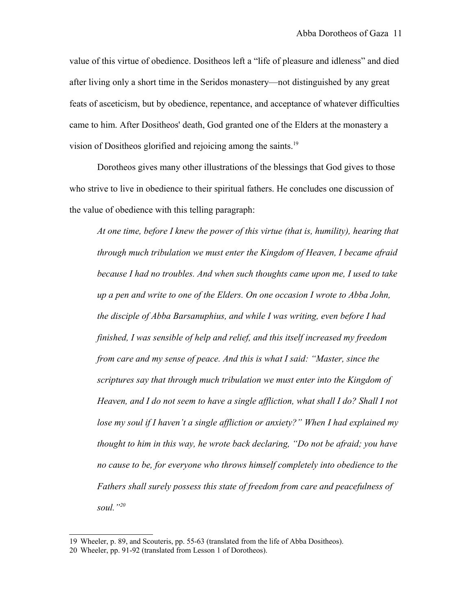value of this virtue of obedience. Dositheos left a "life of pleasure and idleness" and died after living only a short time in the Seridos monastery—not distinguished by any great feats of asceticism, but by obedience, repentance, and acceptance of whatever difficulties came to him. After Dositheos' death, God granted one of the Elders at the monastery a vision of Dositheos glorified and rejoicing among the saints.[19](#page-10-0)

Dorotheos gives many other illustrations of the blessings that God gives to those who strive to live in obedience to their spiritual fathers. He concludes one discussion of the value of obedience with this telling paragraph:

*At one time, before I knew the power of this virtue (that is, humility), hearing that through much tribulation we must enter the Kingdom of Heaven, I became afraid because I had no troubles. And when such thoughts came upon me, I used to take up a pen and write to one of the Elders. On one occasion I wrote to Abba John, the disciple of Abba Barsanuphius, and while I was writing, even before I had finished, I was sensible of help and relief, and this itself increased my freedom from care and my sense of peace. And this is what I said: "Master, since the scriptures say that through much tribulation we must enter into the Kingdom of Heaven, and I do not seem to have a single affliction, what shall I do? Shall I not lose my soul if I haven't a single affliction or anxiety?" When I had explained my thought to him in this way, he wrote back declaring, "Do not be afraid; you have no cause to be, for everyone who throws himself completely into obedience to the Fathers shall surely possess this state of freedom from care and peacefulness of soul."[20](#page-10-1)*

<span id="page-10-0"></span><sup>19</sup> Wheeler, p. 89, and Scouteris, pp. 55-63 (translated from the life of Abba Dositheos).

<span id="page-10-1"></span><sup>20</sup> Wheeler, pp. 91-92 (translated from Lesson 1 of Dorotheos).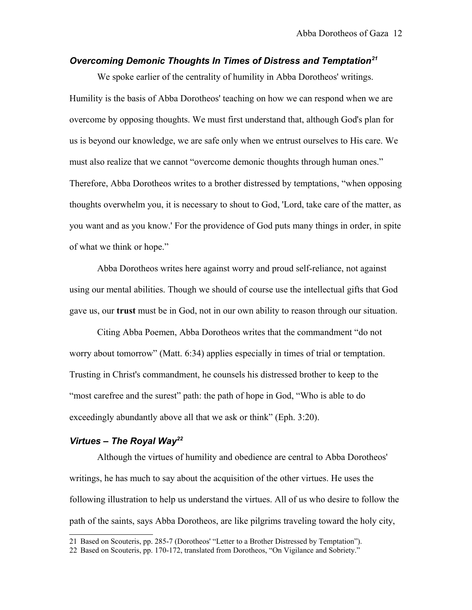## *Overcoming Demonic Thoughts In Times of Distress and Temptation[21](#page-11-0)*

We spoke earlier of the centrality of humility in Abba Dorotheos' writings. Humility is the basis of Abba Dorotheos' teaching on how we can respond when we are overcome by opposing thoughts. We must first understand that, although God's plan for us is beyond our knowledge, we are safe only when we entrust ourselves to His care. We must also realize that we cannot "overcome demonic thoughts through human ones." Therefore, Abba Dorotheos writes to a brother distressed by temptations, "when opposing thoughts overwhelm you, it is necessary to shout to God, 'Lord, take care of the matter, as you want and as you know.' For the providence of God puts many things in order, in spite of what we think or hope."

Abba Dorotheos writes here against worry and proud self-reliance, not against using our mental abilities. Though we should of course use the intellectual gifts that God gave us, our **trust** must be in God, not in our own ability to reason through our situation.

Citing Abba Poemen, Abba Dorotheos writes that the commandment "do not worry about tomorrow" (Matt. 6:34) applies especially in times of trial or temptation. Trusting in Christ's commandment, he counsels his distressed brother to keep to the "most carefree and the surest" path: the path of hope in God, "Who is able to do exceedingly abundantly above all that we ask or think" (Eph. 3:20).

## *Virtues – The Royal Way[22](#page-11-1)*

Although the virtues of humility and obedience are central to Abba Dorotheos' writings, he has much to say about the acquisition of the other virtues. He uses the following illustration to help us understand the virtues. All of us who desire to follow the path of the saints, says Abba Dorotheos, are like pilgrims traveling toward the holy city,

<span id="page-11-0"></span><sup>21</sup> Based on Scouteris, pp. 285-7 (Dorotheos' "Letter to a Brother Distressed by Temptation").

<span id="page-11-1"></span><sup>22</sup> Based on Scouteris, pp. 170-172, translated from Dorotheos, "On Vigilance and Sobriety."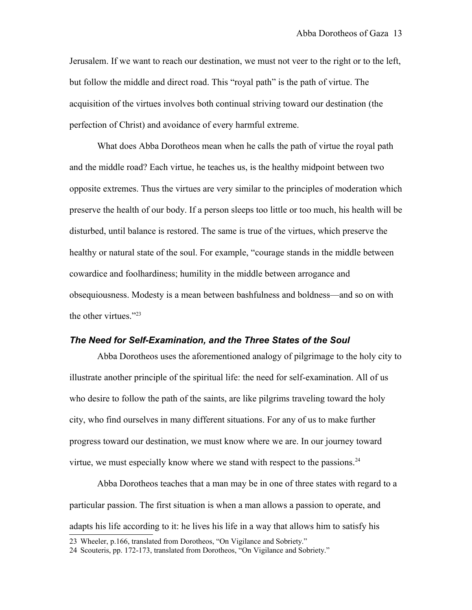Jerusalem. If we want to reach our destination, we must not veer to the right or to the left, but follow the middle and direct road. This "royal path" is the path of virtue. The acquisition of the virtues involves both continual striving toward our destination (the perfection of Christ) and avoidance of every harmful extreme.

What does Abba Dorotheos mean when he calls the path of virtue the royal path and the middle road? Each virtue, he teaches us, is the healthy midpoint between two opposite extremes. Thus the virtues are very similar to the principles of moderation which preserve the health of our body. If a person sleeps too little or too much, his health will be disturbed, until balance is restored. The same is true of the virtues, which preserve the healthy or natural state of the soul. For example, "courage stands in the middle between cowardice and foolhardiness; humility in the middle between arrogance and obsequiousness. Modesty is a mean between bashfulness and boldness—and so on with the other virtues."<sup>[23](#page-12-0)</sup>

## *The Need for Self-Examination, and the Three States of the Soul*

Abba Dorotheos uses the aforementioned analogy of pilgrimage to the holy city to illustrate another principle of the spiritual life: the need for self-examination. All of us who desire to follow the path of the saints, are like pilgrims traveling toward the holy city, who find ourselves in many different situations. For any of us to make further progress toward our destination, we must know where we are. In our journey toward virtue, we must especially know where we stand with respect to the passions.<sup>[24](#page-12-1)</sup>

Abba Dorotheos teaches that a man may be in one of three states with regard to a particular passion. The first situation is when a man allows a passion to operate, and adapts his life according to it: he lives his life in a way that allows him to satisfy his

<span id="page-12-0"></span><sup>23</sup> Wheeler, p.166, translated from Dorotheos, "On Vigilance and Sobriety."

<span id="page-12-1"></span><sup>24</sup> Scouteris, pp. 172-173, translated from Dorotheos, "On Vigilance and Sobriety."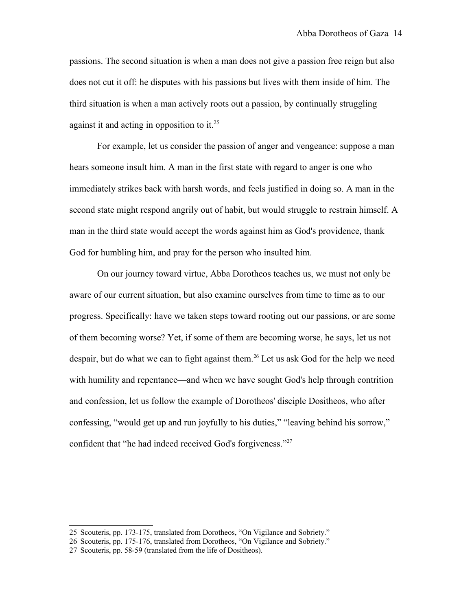passions. The second situation is when a man does not give a passion free reign but also does not cut it off: he disputes with his passions but lives with them inside of him. The third situation is when a man actively roots out a passion, by continually struggling against it and acting in opposition to it.<sup>[25](#page-13-0)</sup>

For example, let us consider the passion of anger and vengeance: suppose a man hears someone insult him. A man in the first state with regard to anger is one who immediately strikes back with harsh words, and feels justified in doing so. A man in the second state might respond angrily out of habit, but would struggle to restrain himself. A man in the third state would accept the words against him as God's providence, thank God for humbling him, and pray for the person who insulted him.

On our journey toward virtue, Abba Dorotheos teaches us, we must not only be aware of our current situation, but also examine ourselves from time to time as to our progress. Specifically: have we taken steps toward rooting out our passions, or are some of them becoming worse? Yet, if some of them are becoming worse, he says, let us not despair, but do what we can to fight against them.<sup>[26](#page-13-1)</sup> Let us ask God for the help we need with humility and repentance—and when we have sought God's help through contrition and confession, let us follow the example of Dorotheos' disciple Dositheos, who after confessing, "would get up and run joyfully to his duties," "leaving behind his sorrow," confident that "he had indeed received God's forgiveness."<sup>[27](#page-13-2)</sup>

<span id="page-13-0"></span><sup>25</sup> Scouteris, pp. 173-175, translated from Dorotheos, "On Vigilance and Sobriety."

<span id="page-13-1"></span><sup>26</sup> Scouteris, pp. 175-176, translated from Dorotheos, "On Vigilance and Sobriety."

<span id="page-13-2"></span><sup>27</sup> Scouteris, pp. 58-59 (translated from the life of Dositheos).